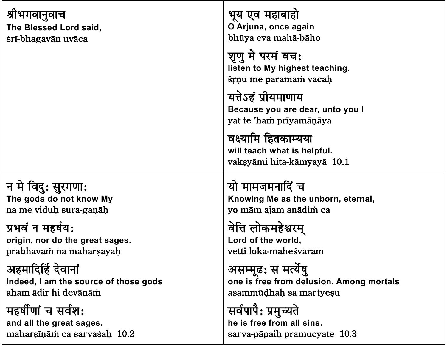| श्रीभगवानुवाच                         | भूय एव महाबाहो                                                                     |
|---------------------------------------|------------------------------------------------------------------------------------|
| The Blessed Lord said,                | O Arjuna, once again                                                               |
| śrī-bhagavān uvāca                    | bhūya eva mahā-bāho                                                                |
|                                       | शृणु मे परमं वच:<br>listen to My highest teaching.<br>srnu me paramam vacah        |
|                                       | यत्तेऽहं प्रीयमाणाय<br>Because you are dear, unto you I<br>yat te 'ham prīyamāņāya |
|                                       | वक्ष्यामि हितकाम्यया<br>will teach what is helpful.<br>vaksyāmi hita-kāmyayā 10.1  |
| न मे विदु: सुरगणा:                    | यो मामजमनादिं च                                                                    |
| The gods do not know My               | Knowing Me as the unborn, eternal,                                                 |
| na me viduḥ sura-gaṇāḥ                | yo mām ajam anādim ca                                                              |
| प्रभवं न महर्षय:                      | वेत्ति लोकमहेश्वरम्                                                                |
| origin, nor do the great sages.       | Lord of the world,                                                                 |
| prabhavam na maharsayah               | vetti loka-maheśvaram                                                              |
| अहमादिर्हि देवानां                    | असम्मूढ: स मर्त्येषु                                                               |
| Indeed, I am the source of those gods | one is free from delusion. Among mortals                                           |
| aham ādir hi devānām                  | asammūdhah sa martyeşu                                                             |
| महर्षीणां च सर्वश:                    | सर्वपापै: प्रमुच्यते                                                               |
| and all the great sages.              | he is free from all sins.                                                          |
| maharşinām ca sarvasah 10.2           | sarva-pāpaiņ pramucyate 10.3                                                       |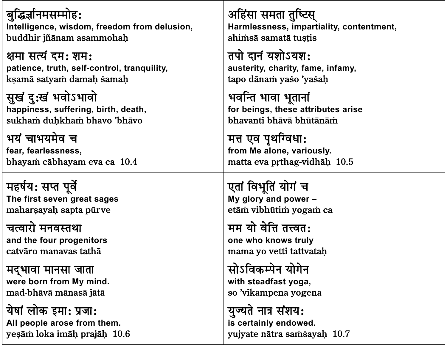<u>बुद्धिर्ज्ञानमसम्मोह:</u> Intelligence, wisdom, freedom from delusion, buddhir jñānam asammohah

क्षमा सत्यं दम: शम: patience, truth, self-control, tranquility, ksamā satyam damah samah

सुखं दु:खं भवोऽभावो happiness, suffering, birth, death, sukham duhkham bhavo 'bhāvo

भयं चाभयमेव च fear, fearlessness, bhayam cābhayam eva ca 10.4

महर्षय: सप्त पूर्वे The first seven great sages maharşayah sapta pürve

चत्वारो मनवस्तथा and the four progenitors catvāro manavas tathā

मद्भावा मानसा जाता were born from My mind. mad-bhāvā mānasā jātā

येषां लोक इमा: प्रजा: All people arose from them. yeşām loka imāh prajāh 10.6 अहिंसा समता तुष्टिस् Harmlessness, impartiality, contentment, ahimsā samatā tustis

तपो दानं यशोऽयश: austerity, charity, fame, infamy, tapo dānam yaso 'yasah

भवन्ति भावा भूतानां for beings, these attributes arise bhavanti bhāvā bhūtānām

मत्त एव पृथग्विधाः from Me alone, variously. matta eva prthag-vidhāḥ 10.5

एतां विभूतिं योगं च My glory and power etām vibhūtim yogam ca

मम यो वेत्ति तत्त्वत: one who knows truly mama yo vetti tattvatah

सोऽविकम्पेन योगेन with steadfast yoga, so 'vikampena yogena

युज्यते नात्र संशय: is certainly endowed. yujyate nātra samsayah 10.7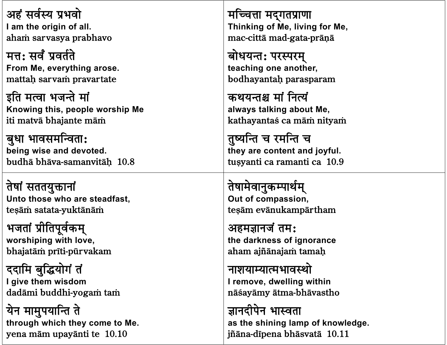अहं सर्वस्य प्रभवो I am the origin of all. aham sarvasya prabhavo

मत्त: सर्वं प्रवर्तते From Me, everything arose. mattah sarvam pravartate

इति मत्वा भजन्ते मां Knowing this, people worship Me iti matvā bhajante mām

बुधा भावसमन्विता: being wise and devoted. budhā bhāva-samanvitāh 10.8

तेषां सततयुक्तानां Unto those who are steadfast. tesām satata-yuktānām

भजतां प्रीतिपूर्वकम् worshiping with love, bhajatām prīti-pūrvakam

ददामि बुद्धियोगं तं I give them wisdom dadāmi buddhi-yogam tam

येन मामुपयान्ति ते through which they come to Me. yena mām upayānti te 10.10

मच्चित्ता मदुगतप्राणा Thinking of Me, living for Me, mac-cittā mad-gata-prāņā

बोधयन्त: परस्परम् teaching one another, bodhayantah parasparam

कथयन्तश्च मां नित्यं always talking about Me, kathayantaś ca mām nityam

तुष्यन्ति च रमन्ति च they are content and joyful. tusyanti ca ramanti ca 10.9

तेषामेवानुकम्पार्थम् Out of compassion, tesām evānukampārtham

अहमज्ञानजं तम: the darkness of ignorance aham ajñānajam tamah

नाशयाम्यात्मभावस्थो I remove, dwelling within nāšayāmy ātma-bhāvastho

ज्ञानदीपेन भास्वता as the shining lamp of knowledge. jñāna-dīpena bhāsvatā 10.11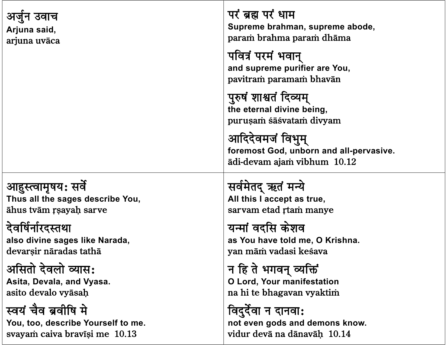| उवाच                             | परं ब्रह्म परं धाम                                                                         |
|----------------------------------|--------------------------------------------------------------------------------------------|
| Arjuna said,                     | Supreme brahman, supreme abode,                                                            |
| arjuna uvāca                     | param brahma param dhāma                                                                   |
|                                  | पवित्रं परमं भवान्<br>and supreme purifier are You,<br>pavitram paramam bhavān             |
|                                  | पुरुषं शाश्वतं दिव्यम्<br>the eternal divine being,<br>puruşam sā svatam divyam            |
|                                  | आदिदेवमजं विभुम्<br>foremost God, unborn and all-pervasive.<br>ādi-devam ajam vibhum 10.12 |
| आहुस्त्वामृषय: सर्वे             | सर्वमेतद् ऋतं मन्ये                                                                        |
| Thus all the sages describe You, | All this I accept as true,                                                                 |
| āhus tvām r sayah sarve          | sarvam etad rtam manye                                                                     |
| देवर्षिर्नारदस्तथा               | यन्मां वदसि केशव                                                                           |
| also divine sages like Narada,   | as You have told me, O Krishna.                                                            |
| devarsir nāradas tathā           | yan mām vadasi kesava                                                                      |
| असितो देवलो व्यास:               | न हि ते भगवन् व्यक्तिं                                                                     |
| Asita, Devala, and Vyasa.        | O Lord, Your manifestation                                                                 |
| asito devalo vyāsah              | na hi te bhagavan vyaktim                                                                  |
| स्वयं चैव ब्रवीषि मे             |                                                                                            |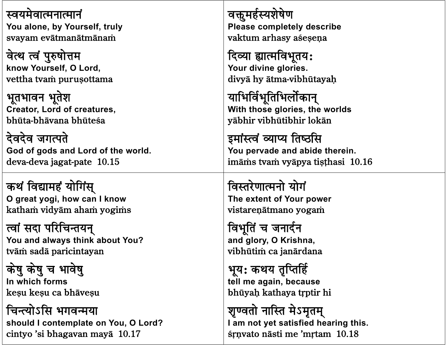स्वयमेवात्मनात्मानं You alone, by Yourself, truly svayam evātmanātmānam

वेत्थ त्वं पुरुषोत्तम know Yourself, O Lord, vettha tvam purusottama

भूतभावन भूतेश **Creator, Lord of creatures,** bhūta-bhāvana bhūteśa

देवदेव जगत्पते God of gods and Lord of the world. deva-deva jagat-pate 10.15

कथं विद्यामहं योगिंस् O great yogi, how can I know katham vidyām aham yogims

त्वां सदा परिचिन्तयन् You and always think about You? tvām sadā paricintayan

केषु केषु च भावेषु In which forms kesu kesu ca bhāvesu

चिन्त्योऽसि भगवन्मया should I contemplate on You, O Lord? cintyo 'si bhagayan maya 10.17

वक्तूमर्हस्यशेषेण Please completely describe vaktum arhasy aśesena

दिव्या ह्यात्मविभूतय: Your divine glories. divyā hy ātma-vibhūtayah

याभिर्विभूतिभिर्लोकान् With those glories, the worlds yābhir vibhūtibhir lokān

इमांस्त्वं व्याप्य तिष्ठसि You pervade and abide therein. imāms tvam vyāpya tisthasi 10.16

विस्तरेणात्मनो योगं The extent of Your power vistarenātmano yogam

विभूतिं च जनार्दन and glory, O Krishna, vibhūtim ca janārdana

भूय: कथय तृप्तिर्हि tell me again, because bhūyah kathaya trptir hi

शृण्वतो नास्ति मेऽमृतम् I am not yet satisfied hearing this. śrnyato nāsti me 'mrtam 10.18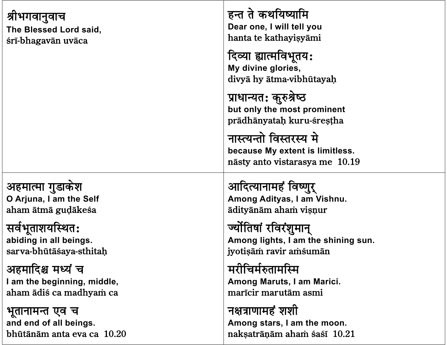| श्रीभगवानुवाच<br>The Blessed Lord said,<br>srī-bhagavān uvāca | हन्त ते कथयिष्यामि<br>Dear one, I will tell you<br>hanta te kathayişyāmi<br>दिव्या ह्यात्मविभूतय:<br>My divine glories,<br>divyā hy ātma-vibhūtayaḥ<br>प्राधान्यत: कुरुश्रेष्ठ<br>but only the most prominent<br>prādhānyataḥ kuru-śreṣṭha<br>नास्त्यन्तो विस्तरस्य मे<br>because My extent is limitless.<br>nāsty anto vistarasya me 10.19 |
|---------------------------------------------------------------|---------------------------------------------------------------------------------------------------------------------------------------------------------------------------------------------------------------------------------------------------------------------------------------------------------------------------------------------|
| अहमात्मा गुडाकेश                                              | आदित्यानामहं विष्णुर्                                                                                                                                                                                                                                                                                                                       |
| O Arjuna, I am the Self                                       | Among Adityas, I am Vishnu.                                                                                                                                                                                                                                                                                                                 |
| aham ātmā gudākesa                                            | ādityānām aham visnur                                                                                                                                                                                                                                                                                                                       |
| सर्वभूताशयस्थित:                                              | ज्योतिषां रविरंशुमान्                                                                                                                                                                                                                                                                                                                       |
| abiding in all beings.                                        | Among lights, I am the shining sun.                                                                                                                                                                                                                                                                                                         |
| sarva-bhūtāśaya-sthitaḥ                                       | jyotişām ravir amsumān                                                                                                                                                                                                                                                                                                                      |
| अहमादिश्च मध्यं च                                             | मरीचिर्मरुतामस्मि                                                                                                                                                                                                                                                                                                                           |
| I am the beginning, middle,                                   | Among Maruts, I am Marici.                                                                                                                                                                                                                                                                                                                  |
| aham ādiś ca madhyam ca                                       | marīcir marutām asmi                                                                                                                                                                                                                                                                                                                        |
| भूतानामन्त एव च                                               | नक्षत्राणामहं शशी                                                                                                                                                                                                                                                                                                                           |
| and end of all beings.                                        | Among stars, I am the moon.                                                                                                                                                                                                                                                                                                                 |
| bhūtānām anta eva ca 10.20                                    | nakşatrāņām aham sasī 10.21                                                                                                                                                                                                                                                                                                                 |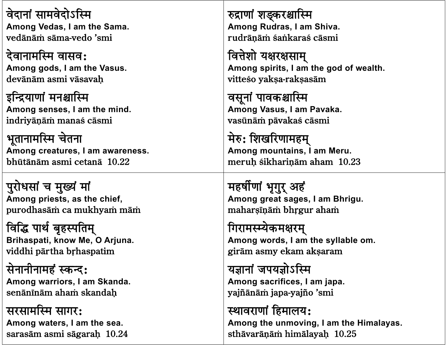वेदानां सामवेदोऽस्मि **Among Vedas, I am the Sama.** vedānām sāma-vedo 'smi

देवानामस्मि वासव: **Among gods, I am the Vasus.** devānām asmi vāsavah

इन्द्रियाणां मनश्चास्मि **Among senses, I am the mind.** indriyāņām manas cāsmi

भूतानामस्मि चेतना **Among creatures, I am awareness.** bhūtānām asmi cetanā 10.22

पुरोधसां च मुख्यं मां **Among priests, as the chief,** purodhasām ca mukhyam mām

विद्धि पार्थ बृहस्पतिम् **Brihaspati, know Me, O Arjuna.** viddhi pārtha brhaspatim

सेनानीनामहं स्कन्द: **Among warriors, I am Skanda.** senānīnām aham skandah

सरसामस्मि सागर: **Among waters, I am the sea.** sarasām asmi sāgarah 10.24 रुद्राणां शङ्करश्चास्मि **Among Rudras, I am Shiva.** rudrānām śankaraś cāsmi

वित्तेशो यक्षरक्षसाम् **Among spirits, I am the god of wealth.** vitteso yaksa-raksasām

वसूनां पावकश्चास्मि **Among Vasus, I am Pavaka.** vasūnām pāvakas cāsmi

मेरु: शिखरिणामहम् **Among mountains, I am Meru.** meruh sikharinām aham 10.23

महर्षीणां भृगुर् अहं **Among great sages, I am Bhrigu.** maharsīnām bhrgur aham

गिरामस्म्येकमक्षरम् **Among words, I am the syllable om.** girām asmy ekam aksaram

यज्ञानां जपयज्ञोऽस्मि **Among sacrifices, I am japa.** yajñānām japa-yajño 'smi

स्थावराणां हिमालय: **Among the unmoving, I am the Himalayas.** sthāvarānām himālayah 10.25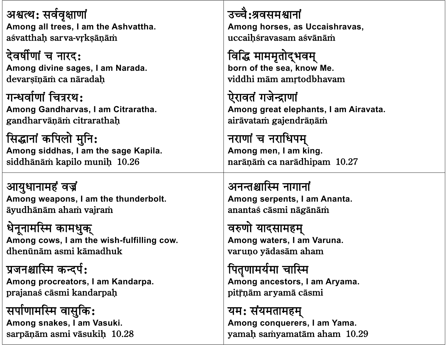अश्वत्थ: सर्ववृक्षाणां **Among all trees, I am the Ashvattha.** aśvatthah sarva-vrksānām

देवर्षीणां च नारद: **Among divine sages, I am Narada.** devarsīnām ca nāradah

गन्धर्वाणां चित्ररथ: **Among Gandharvas, I am Citraratha.** gandharvānām citrarathah

सिद्धानां कपिलो मुनि: **Among siddhas, I am the sage Kapila.** siddhānām kapilo munih 10.26

आयुधानामहं वज्रं **Among weapons, I am the thunderbolt.** āyudhānām aham vajram

धेनूनामस्मि कामधुक् **Among cows, I am the wish-fulfilling cow.** dhenïnàm asmi kàmadhuk

प्रजनश्चास्मि कन्दर्प: **Among procreators, I am Kandarpa.** prajanaś cāsmi kandarpah

सर्पाणामस्मि वासुकि: **Among snakes, I am Vasuki.** sarpāņām asmi vāsukih 10.28 उच्चै:श्रवसमश्वानां **Among horses, as Uccaishravas,** uccaihśravasam aśvānām

विद्धि माममृतोद्भवम् **born of the sea, know Me.** viddhi mām amrtodbhavam

ऐरावतं गजेन्द्राणां **Among great elephants, I am Airavata.** airāvatam gajendrāņām

नराणां च नराधिपम् **Among men, I am king.** narāņām ca narādhipam 10.27

अनन्तश्चास्मि नागानां **Among serpents, I am Ananta.** anantaś cāsmi nāgānām

वरुणो यादसामहम् **Among waters, I am Varuna.** varuņo yādasām aham

पितृणामर्यमा चास्मि **Among ancestors, I am Aryama.** pitrnām aryamā cāsmi

यम: संयमतामहम् **Among conquerers, I am Yama.** yamah samyamatām aham 10.29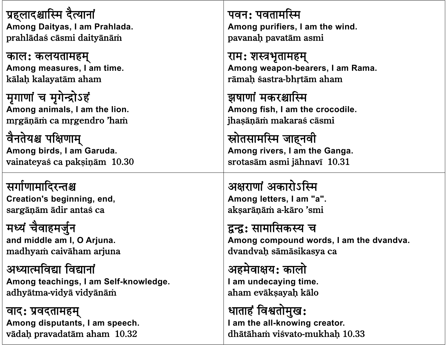प्रहलादश्चास्मि दैत्यानां **Among Daityas, I am Prahlada.** prahlādas cāsmi daityānām

काल: कलयतामहम् **Among measures, I am time.** kālah kalayatām aham

मृगाणां च मृगेन्द्रोऽहं **Among animals, I am the lion.** mrgāņām ca mrgendro 'ham

वैनतेयश्च पक्षिणाम् **Among birds, I am Garuda.** vainateyas ca pakṣiṇām 10.30

सर्गाणामादिरन्तश्च **Creation's beginning, end,** sargānām ādir antaś ca

मध्यं चैवाहमर्जुन **and middle am I, O Arjuna.** madhyam caivāham arjuna

अध्यात्मविद्या विद्यानां **Among teachings, I am Self-knowledge.** adhyātma-vidyā vidyānām

वाद: प्रवदतामहम् **Among disputants, I am speech.** vādah pravadatām aham 10.32

पवन: पवतामस्मि **Among purifiers, I am the wind.** pavanah pavatām asmi

राम: शस्त्रभृतामहम् **Among weapon-bearers, I am Rama.** rāmah śastra-bhrtām aham

झषाणां मकरश्चास्मि **Among fish, I am the crocodile.** jhasānām makaras cāsmi

स्रोतसामस्मि जाहनवी **Among rivers, I am the Ganga.** srotasàm asmi jàhnavã 10.31

अक्षराणां अकारोऽस्मि **Among letters, I am "a".** aksarānām a-kāro 'smi

द्वन्द्व: सामासिकस्य च **Among compound words, I am the dvandva.** dvandvah sāmāsikasya ca

अहमेवाक्षय: कालो **I am undecaying time.** aham evāksayah kālo

धाताहं विश्वतोमुख: **I am the all-knowing creator.** dhātāham visvato-mukhah 10.33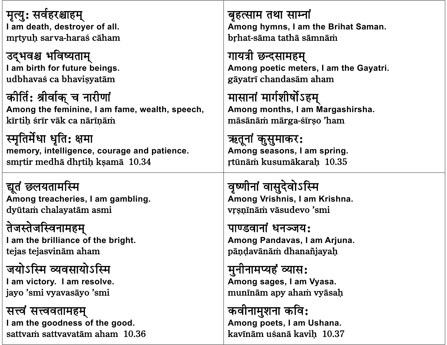मृत्यु: सर्वहरश्चाहम् बृहत्साम तथा साम्नां Among hymns, I am the Brihat Saman. I am death, destroyer of all. mrtvuh sarva-haraś cāham brhat-sāma tathā sāmnām उद्भवश्च भविष्यताम् गायत्री छन्दसामहम् I am birth for future beings. Among poetic meters, I am the Gayatri. udbhavas ca bhavisvatām gāyatrī chandasām aham कीर्ति: श्रीर्वाक् च नारीणां मासानां मार्गशीर्षोऽहम् Among the feminine, I am fame, wealth, speech, Among months, I am Margashirsha. kīrtih śrīr vāk ca nārīnām māsānām mārga-sīrso 'ham स्मृतिर्मेधा धृति: क्षमा ऋतूनां कुसुमाकर: memory, intelligence, courage and patience. Among seasons, I am spring. smrtir medhā dhrtiņ kṣamā 10.34 rtūnām kusumākarah 10.35 वृष्णीनां वासुदेवोऽस्मि द्यूतं छलयतामस्मि Among treacheries, I am gambling. Among Vrishnis, I am Krishna. dyūtam chalayatām asmi vrsnīnām vāsudevo 'smi तेजस्तेजस्विनामहम् पाण्डवानां धनञ्जय: I am the brilliance of the bright. Among Pandavas, I am Arjuna. tejas tejasvinām aham pāndavānām dhanañjayah जयोऽस्मि व्यवसायोऽस्मि मुनीनामप्यहं व्यास: Among sages, I am Vyasa. I am victory. I am resolve. munīnām apy aham vyāsaḥ jayo 'smi vyavasāyo 'smi कवीनामुशना कवि: सत्त्वं सत्त्ववतामहम् I am the goodness of the good. Among poets, I am Ushana. sattvam sattvavatām aham 10.36 kavīnām ušanā kavih 10.37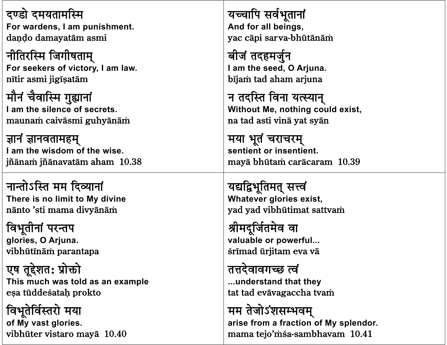दण्डो दमयतामस्मि For wardens, I am punishment. dando damayatām asmi नीतिरस्मि जिगीषताम्

For seekers of victory, I am law. nītir asmi jigīsatām

मौनं चैवास्मि गुह्यानां I am the silence of secrets. maunam caivāsmi guhyānām

ज्ञानं ज्ञानवतामहम् I am the wisdom of the wise. jñānam jñānavatām aham 10.38

नान्तोऽस्ति मम दिव्यानां There is no limit to My divine nānto 'sti mama divyānām

विभूतीनां परन्तप glories, O Arjuna. vibhūtīnām parantapa

एष तूद्देशत: प्रोक्तो This much was told as an example esa tūddeśatah prokto

विभूतेर्विस्तरो मया of My vast glories. vibhūter vistaro mayā 10.40 यच्चापि सर्वभूतानां And for all beings, yac cāpi sarva-bhūtānām

बीजं तदहमर्जुन I am the seed, O Arjuna. bījam tad aham arjuna

न तदस्ति विना यत्स्यान् Without Me, nothing could exist, na tad asti vinā yat syān

मया भूतं चराचरम् sentient or insentient. mayā bhūtam carācaram 10.39

यद्यद्विभूतिमत् सत्त्वं **Whatever glories exist.** yad yad vibhūtimat sattvam

श्रीमदूर्जितमेव वा valuable or powerful... śrīmad ūrjitam eva vā

तत्तदेवावगच्छ त्वं ...understand that they tat tad evāvagaccha tvam

मम तेजोऽंशसम्भवम् arise from a fraction of My splendor. mama tejo'mśa-sambhavam 10.41